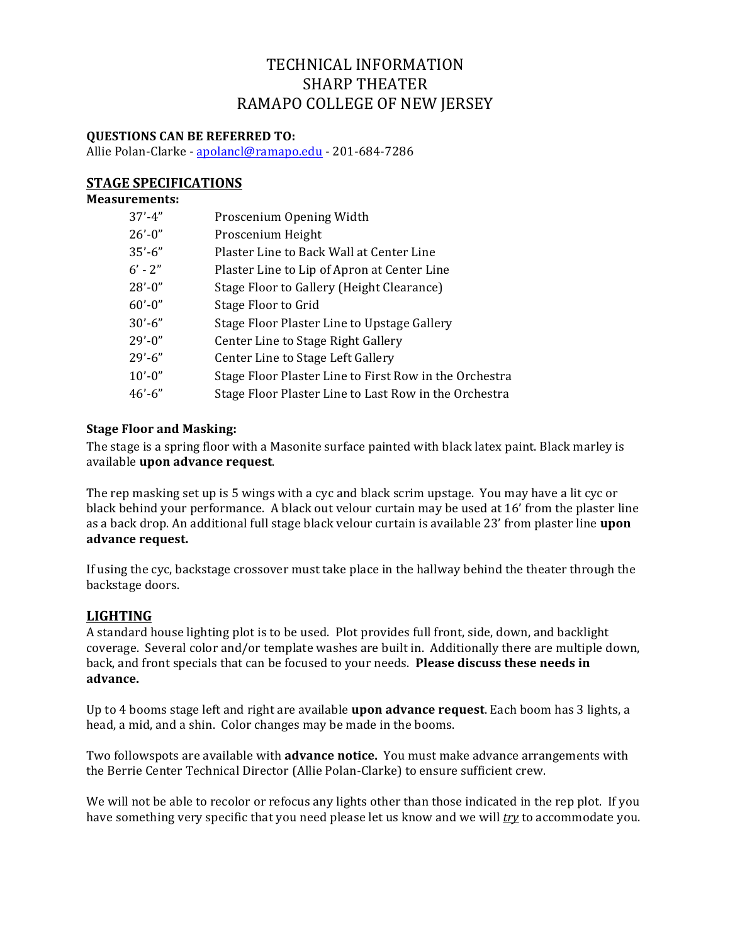# TECHNICAL INFORMATION SHARP THEATER RAMAPO COLLEGE OF NEW JERSEY

## **QUESTIONS CAN BE REFERRED TO:**

Allie Polan-Clarke - apolancl@ramapo.edu - 201-684-7286

## **STAGE SPECIFICATIONS**

#### **Measurements:**

| $37' - 4''$ | Proscenium Opening Width                               |
|-------------|--------------------------------------------------------|
| $26' - 0''$ | Proscenium Height                                      |
| $35' - 6''$ | Plaster Line to Back Wall at Center Line               |
| $6' - 2''$  | Plaster Line to Lip of Apron at Center Line            |
| $28' - 0''$ | Stage Floor to Gallery (Height Clearance)              |
| $60' - 0''$ | Stage Floor to Grid                                    |
| $30' - 6''$ | Stage Floor Plaster Line to Upstage Gallery            |
| $29' - 0''$ | Center Line to Stage Right Gallery                     |
| $29' - 6''$ | Center Line to Stage Left Gallery                      |
| $10' - 0''$ | Stage Floor Plaster Line to First Row in the Orchestra |
| $46' - 6''$ | Stage Floor Plaster Line to Last Row in the Orchestra  |

### **Stage Floor and Masking:**

The stage is a spring floor with a Masonite surface painted with black latex paint. Black marley is available **upon advance request**. 

The rep masking set up is 5 wings with a cyc and black scrim upstage. You may have a lit cyc or black behind your performance. A black out velour curtain may be used at 16' from the plaster line as a back drop. An additional full stage black velour curtain is available 23' from plaster line **upon advance request.**

If using the cyc, backstage crossover must take place in the hallway behind the theater through the backstage doors.

### **LIGHTING**

A standard house lighting plot is to be used. Plot provides full front, side, down, and backlight coverage. Several color and/or template washes are built in. Additionally there are multiple down, back, and front specials that can be focused to your needs. **Please discuss these needs in advance.**

Up to 4 booms stage left and right are available **upon advance request**. Each boom has 3 lights, a head, a mid, and a shin. Color changes may be made in the booms.

Two followspots are available with **advance notice.** You must make advance arrangements with the Berrie Center Technical Director (Allie Polan-Clarke) to ensure sufficient crew.

We will not be able to recolor or refocus any lights other than those indicated in the rep plot. If you have something very specific that you need please let us know and we will *try* to accommodate you.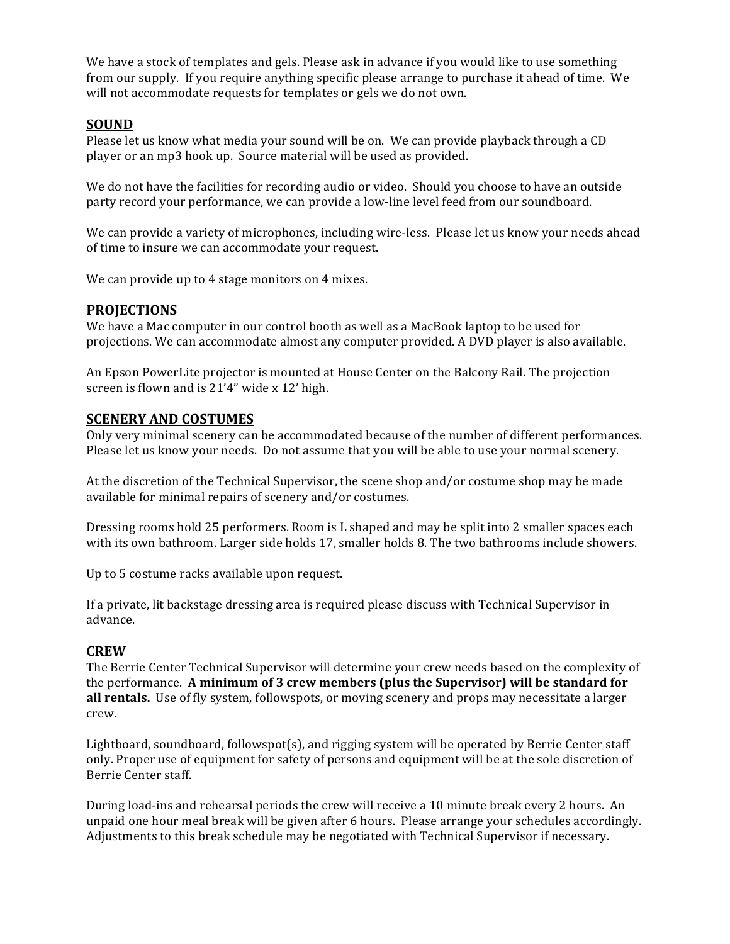We have a stock of templates and gels. Please ask in advance if you would like to use something from our supply. If you require anything specific please arrange to purchase it ahead of time. We will not accommodate requests for templates or gels we do not own.

#### **SOUND**

Please let us know what media your sound will be on. We can provide playback through a CD player or an mp3 hook up. Source material will be used as provided.

We do not have the facilities for recording audio or video. Should you choose to have an outside party record your performance, we can provide a low-line level feed from our soundboard.

We can provide a variety of microphones, including wire-less. Please let us know your needs ahead of time to insure we can accommodate your request.

We can provide up to 4 stage monitors on 4 mixes.

#### **PROJECTIONS**

We have a Mac computer in our control booth as well as a MacBook laptop to be used for projections. We can accommodate almost any computer provided. A DVD player is also available.

An Epson PowerLite projector is mounted at House Center on the Balcony Rail. The projection screen is flown and is 21'4" wide x 12' high.

#### **SCENERY AND COSTUMES**

Only very minimal scenery can be accommodated because of the number of different performances. Please let us know your needs. Do not assume that you will be able to use your normal scenery.

At the discretion of the Technical Supervisor, the scene shop and/or costume shop may be made available for minimal repairs of scenery and/or costumes.

Dressing rooms hold 25 performers. Room is L shaped and may be split into 2 smaller spaces each with its own bathroom. Larger side holds 17, smaller holds 8. The two bathrooms include showers.

Up to 5 costume racks available upon request.

If a private, lit backstage dressing area is required please discuss with Technical Supervisor in advance.

#### **CREW**

The Berrie Center Technical Supervisor will determine your crew needs based on the complexity of the performance. A minimum of 3 crew members (plus the Supervisor) will be standard for **all rentals.** Use of fly system, followspots, or moving scenery and props may necessitate a larger crew.

Lightboard, soundboard, followspot(s), and rigging system will be operated by Berrie Center staff only. Proper use of equipment for safety of persons and equipment will be at the sole discretion of Berrie Center staff.

During load-ins and rehearsal periods the crew will receive a 10 minute break every 2 hours. An unpaid one hour meal break will be given after 6 hours. Please arrange your schedules accordingly. Adjustments to this break schedule may be negotiated with Technical Supervisor if necessary.